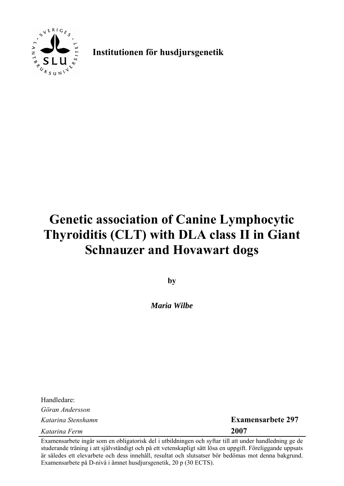

**Institutionen för husdjursgenetik**

# **Genetic association of Canine Lymphocytic Thyroiditis (CLT) with DLA class II in Giant Schnauzer and Hovawart dogs**

**by** 

*Maria Wilbe* 

Handledare: *Göran Andersson Katarina Ferm* **2007**

*Katarina Stenshamn* **Examensarbete 297**

Examensarbete ingår som en obligatorisk del i utbildningen och syftar till att under handledning ge de studerande träning i att självständigt och på ett vetenskapligt sätt lösa en uppgift. Föreliggande uppsats är således ett elevarbete och dess innehåll, resultat och slutsatser bör bedömas mot denna bakgrund. Examensarbete på D-nivå i ämnet husdjursgenetik, 20 p (30 ECTS).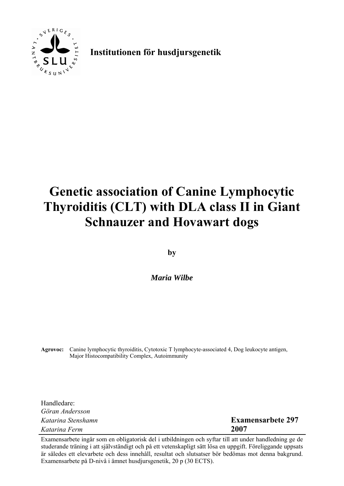

**Institutionen för husdjursgenetik**

# **Genetic association of Canine Lymphocytic Thyroiditis (CLT) with DLA class II in Giant Schnauzer and Hovawart dogs**

**by** 

*Maria Wilbe* 

**Agrovoc:** Canine lymphocytic thyroiditis, Cytotoxic T lymphocyte-associated 4, Dog leukocyte antigen, Major Histocompatibility Complex, Autoimmunity

Handledare: *Göran Andersson Katarina Stenshamn* **Examensarbete 297** *Katarina Ferm* **2007**

Examensarbete ingår som en obligatorisk del i utbildningen och syftar till att under handledning ge de studerande träning i att självständigt och på ett vetenskapligt sätt lösa en uppgift. Föreliggande uppsats är således ett elevarbete och dess innehåll, resultat och slutsatser bör bedömas mot denna bakgrund. Examensarbete på D-nivå i ämnet husdjursgenetik, 20 p (30 ECTS).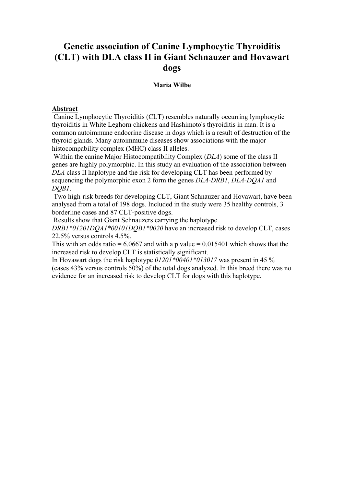# **Genetic association of Canine Lymphocytic Thyroiditis (CLT) with DLA class II in Giant Schnauzer and Hovawart dogs**

#### **Maria Wilbe**

#### **Abstract**

 Canine Lymphocytic Thyroiditis (CLT) resembles naturally occurring lymphocytic thyroiditis in White Leghorn chickens and Hashimoto's thyroiditis in man. It is a common autoimmune endocrine disease in dogs which is a result of destruction of the thyroid glands. Many autoimmune diseases show associations with the major histocompability complex (MHC) class II alleles.

 Within the canine Major Histocompatibility Complex (*DLA*) some of the class II genes are highly polymorphic. In this study an evaluation of the association between *DLA* class II haplotype and the risk for developing CLT has been performed by sequencing the polymorphic exon 2 form the genes *DLA-DRB1*, *DLA-DQA1* and *DQB1*.

 Two high-risk breeds for developing CLT, Giant Schnauzer and Hovawart, have been analysed from a total of 198 dogs. Included in the study were 35 healthy controls, 3 borderline cases and 87 CLT-positive dogs.

Results show that Giant Schnauzers carrying the haplotype

*DRB1\*01201DQA1\*00101DQB1\*0020* have an increased risk to develop CLT, cases 22.5% versus controls 4.5%.

This with an odds ratio =  $6.0667$  and with a p value =  $0.015401$  which shows that the increased risk to develop CLT is statistically significant.

In Hovawart dogs the risk haplotype *01201\*00401\*013017* was present in 45 % (cases 43% versus controls 50%) of the total dogs analyzed. In this breed there was no evidence for an increased risk to develop CLT for dogs with this haplotype.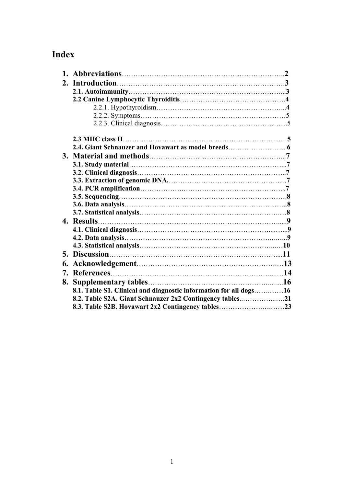# **Index**

| 8.1. Table S1. Clinical and diagnostic information for all dogs16 |  |
|-------------------------------------------------------------------|--|
| 8.2. Table S2A. Giant Schnauzer 2x2 Contingency tables21          |  |
|                                                                   |  |
|                                                                   |  |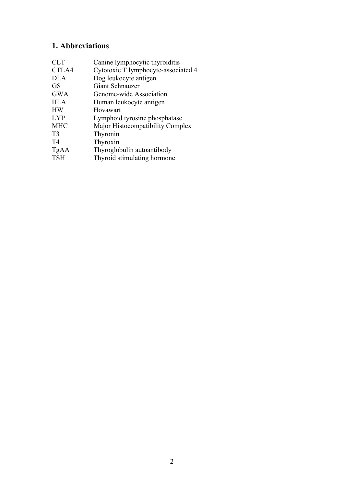# **1. Abbreviations**

| <b>CLT</b>     | Canine lymphocytic thyroiditis      |
|----------------|-------------------------------------|
| CTLA4          | Cytotoxic T lymphocyte-associated 4 |
| <b>DLA</b>     | Dog leukocyte antigen               |
| <b>GS</b>      | Giant Schnauzer                     |
| <b>GWA</b>     | Genome-wide Association             |
| <b>HLA</b>     | Human leukocyte antigen             |
| <b>HW</b>      | Hovawart                            |
| <b>LYP</b>     | Lymphoid tyrosine phosphatase       |
| <b>MHC</b>     | Major Histocompatibility Complex    |
| T <sub>3</sub> | Thyronin                            |
| T4             | Thyroxin                            |
| TgAA           | Thyroglobulin autoantibody          |
| <b>TSH</b>     | Thyroid stimulating hormone         |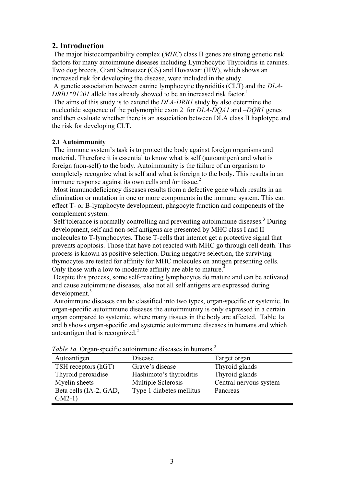#### **2. Introduction**

 The major histocompatibility complex (*MHC*) class II genes are strong genetic risk factors for many autoimmune diseases including Lymphocytic Thyroiditis in canines. Two dog breeds, Giant Schnauzer (GS) and Hovawart (HW), which shows an increased risk for developing the disease, were included in the study.

 A genetic association between canine lymphocytic thyroiditis (CLT) and the *DLA-DRB1\*01201* allele has already showed to be an increased risk factor.<sup>1</sup>

 The aims of this study is to extend the *DLA-DRB1* study by also determine the nucleotide sequence of the polymorphic exon 2 for *DLA-DQA1* and –*DQB1* genes and then evaluate whether there is an association between DLA class II haplotype and the risk for developing CLT.

#### **2.1 Autoimmunity**

 The immune system's task is to protect the body against foreign organisms and material. Therefore it is essential to know what is self (autoantigen) and what is foreign (non-self) to the body. Autoimmunity is the failure of an organism to completely recognize what is self and what is foreign to the body. This results in an immune response against its own cells and /or tissue.<sup>2</sup>

 Most immunodeficiency diseases results from a defective gene which results in an elimination or mutation in one or more components in the immune system. This can effect T- or B-lymphocyte development, phagocyte function and components of the complement system.

Self tolerance is normally controlling and preventing autoimmune diseases.<sup>3</sup> During development, self and non-self antigens are presented by MHC class I and II molecules to T-lymphocytes. Those T-cells that interact get a protective signal that prevents apoptosis. Those that have not reacted with MHC go through cell death. This process is known as positive selection. During negative selection, the surviving thymocytes are tested for affinity for MHC molecules on antigen presenting cells. Only those with a low to moderate affinity are able to mature.<sup>4</sup>

 Despite this process, some self-reacting lymphocytes do mature and can be activated and cause autoimmune diseases, also not all self antigens are expressed during development.<sup>3</sup>

 Autoimmune diseases can be classified into two types, organ-specific or systemic. In organ-specific autoimmune diseases the autoimmunity is only expressed in a certain organ compared to systemic, where many tissues in the body are affected. Table 1a and b shows organ-specific and systemic autoimmune diseases in humans and which autoantigen that is recognized.<sup>2</sup>

| Autoantigen            | Disease                  | Target organ           |
|------------------------|--------------------------|------------------------|
| TSH receptors (hGT)    | Grave's disease          | Thyroid glands         |
| Thyroid peroxidise     | Hashimoto's thyroiditis  | Thyroid glands         |
| Myelin sheets          | Multiple Sclerosis       | Central nervous system |
| Beta cells (IA-2, GAD, | Type 1 diabetes mellitus | Pancreas               |
| $GM2-1)$               |                          |                        |

Table 1a. Organ-specific autoimmune diseases in humans.<sup>2</sup>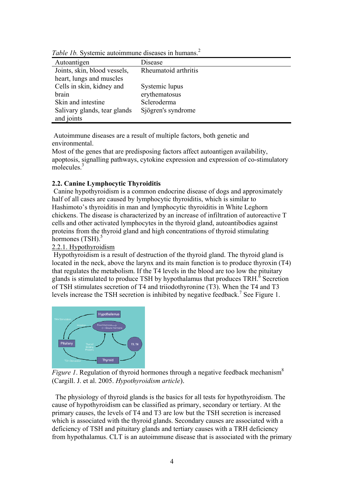| Autoantigen                  | Disease              |
|------------------------------|----------------------|
| Joints, skin, blood vessels, | Rheumatoid arthritis |
| heart, lungs and muscles     |                      |
| Cells in skin, kidney and    | Systemic lupus       |
| brain                        | erythematosus        |
| Skin and intestine           | Scleroderma          |
| Salivary glands, tear glands | Sjögren's syndrome   |
| and joints                   |                      |

Table 1b. Systemic autoimmune diseases in humans.<sup>2</sup>

 Autoimmune diseases are a result of multiple factors, both genetic and environmental.

Most of the genes that are predisposing factors affect autoantigen availability, apoptosis, signalling pathways, cytokine expression and expression of co-stimulatory molecules $^3$ 

#### **2.2. Canine Lymphocytic Thyroiditis**

 Canine hypothyroidism is a common endocrine disease of dogs and approximately half of all cases are caused by lymphocytic thyroiditis, which is similar to Hashimoto's thyroiditis in man and lymphocytic thyroiditis in White Leghorn chickens. The disease is characterized by an increase of infiltration of autoreactive T cells and other activated lymphocytes in the thyroid gland, autoantibodies against proteins from the thyroid gland and high concentrations of thyroid stimulating hormones  $(TSH)$ .<sup>5</sup>

#### 2.2.1. Hypothyroidism

 Hypothyroidism is a result of destruction of the thyroid gland. The thyroid gland is located in the neck, above the larynx and its main function is to produce thyroxin (T4) that regulates the metabolism. If the T4 levels in the blood are too low the pituitary glands is stimulated to produce TSH by hypothalamus that produces  $TRH<sup>6</sup>$  Secretion of TSH stimulates secretion of T4 and triiodothyronine (T3). When the T4 and T3 levels increase the TSH secretion is inhibited by negative feedback.<sup>7</sup> See Figure 1.



*Figure 1*. Regulation of thyroid hormones through a negative feedback mechanism<sup>8</sup> (Cargill. J. et al. 2005. *Hypothyroidism article*).

 The physiology of thyroid glands is the basics for all tests for hypothyroidism. The cause of hypothyroidism can be classified as primary, secondary or tertiary. At the primary causes, the levels of T4 and T3 are low but the TSH secretion is increased which is associated with the thyroid glands. Secondary causes are associated with a deficiency of TSH and pituitary glands and tertiary causes with a TRH deficiency from hypothalamus. CLT is an autoimmune disease that is associated with the primary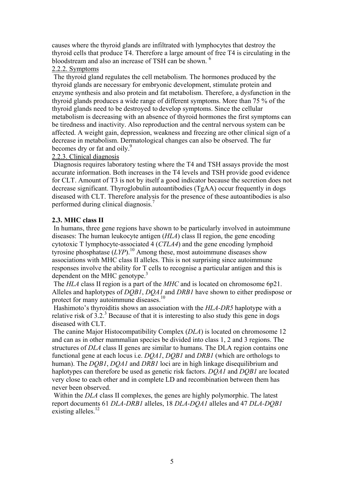causes where the thyroid glands are infiltrated with lymphocytes that destroy the thyroid cells that produce T4. Therefore a large amount of free T4 is circulating in the bloodstream and also an increase of TSH can be shown. <sup>6</sup>

#### 2.2.2. Symptoms

 The thyroid gland regulates the cell metabolism. The hormones produced by the thyroid glands are necessary for embryonic development, stimulate protein and enzyme synthesis and also protein and fat metabolism. Therefore, a dysfunction in the thyroid glands produces a wide range of different symptoms. More than 75 % of the thyroid glands need to be destroyed to develop symptoms. Since the cellular metabolism is decreasing with an absence of thyroid hormones the first symptoms can be tiredness and inactivity. Also reproduction and the central nervous system can be affected. A weight gain, depression, weakness and freezing are other clinical sign of a decrease in metabolism. Dermatological changes can also be observed. The fur becomes dry or fat and oily.<sup>9</sup>

#### 2.2.3. Clinical diagnosis

 Diagnosis requires laboratory testing where the T4 and TSH assays provide the most accurate information. Both increases in the T4 levels and TSH provide good evidence for CLT. Amount of T3 is not by itself a good indicator because the secretion does not decrease significant. Thyroglobulin autoantibodies (TgAA) occur frequently in dogs diseased with CLT. Therefore analysis for the presence of these autoantibodies is also performed during clinical diagnosis.<sup>7</sup>

#### **2.3. MHC class II**

 In humans, three gene regions have shown to be particularly involved in autoimmune diseases: The human leukocyte antigen (*HLA*) class II region, the gene encoding cytotoxic T lymphocyte-associated 4 (*CTLA4*) and the gene encoding lymphoid tyrousine phosphatase (*LYP*).<sup>10</sup> Among these, most autoimmune diseases show associations with MHC class II alleles. This is not surprising since autoimmune responses involve the ability for T cells to recognise a particular antigen and this is dependent on the MHC genotype.<sup>3</sup>

 The *HLA* class II region is a part of the *MHC* and is located on chromosome 6p21. Alleles and haplotypes of *DQB1*, *DQA1* and *DRB1* have shown to either predispose or protect for many autoimmune diseases.<sup>10</sup>

 Hashimoto's thyroiditis shows an association with the *HLA-DR5* haplotype with a relative risk of  $3.2$ .<sup>3</sup> Because of that it is interesting to also study this gene in dogs diseased with CLT.

 The canine Major Histocompatibility Complex (*DLA*) is located on chromosome 12 and can as in other mammalian species be divided into class 1, 2 and 3 regions. The structures of *DLA* class II genes are similar to humans. The DLA region contains one functional gene at each locus i.e. *DQA1*, *DQB1* and *DRB1* (which are orthologs to human). The *DOB1*, *DOA1* and *DRB1* loci are in high linkage disequilibrium and haplotypes can therefore be used as genetic risk factors. *DQA1* and *DQB1* are located very close to each other and in complete LD and recombination between them has never been observed.

Within the *DLA* class II complexes, the genes are highly polymorphic. The latest report documents 61 *DLA-DRB1* alleles, 18 *DLA-DQA1* alleles and 47 *DLA-DQB1* existing alleles.<sup>12</sup>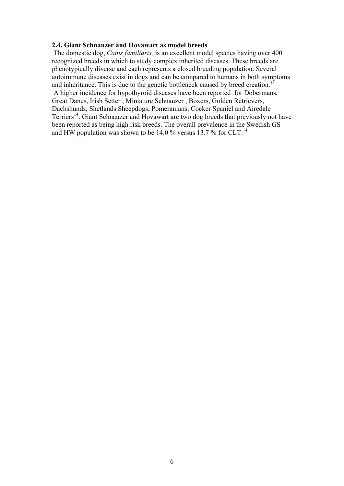#### **2.4. Giant Schnauzer and Hovawart as model breeds**

 The domestic dog, *Canis familiaris,* is an excellent model species having over 400 recognized breeds in which to study complex inherited diseases. These breeds are phenotypically diverse and each represents a closed breeding population. Several autoimmune diseases exist in dogs and can be compared to humans in both symptoms and inheritance. This is due to the genetic bottleneck caused by breed creation.<sup>1</sup>

 A higher incidence for hypothyroid diseases have been reported for Dobermans, Great Danes, Irish Setter , Miniature Schnauzer , Boxers, Golden Retrievers, Dachshunds, Shetlands Sheepdogs, Pomeranians, Cocker Spaniel and Airedale Terriers<sup>14</sup>. Giant Schnauzer and Hovawart are two dog breeds that previously not have been reported as being high risk breeds. The overall prevalence in the Swedish GS and HW population was shown to be 14.0 % versus  $13.7$  % for CLT.<sup>14</sup>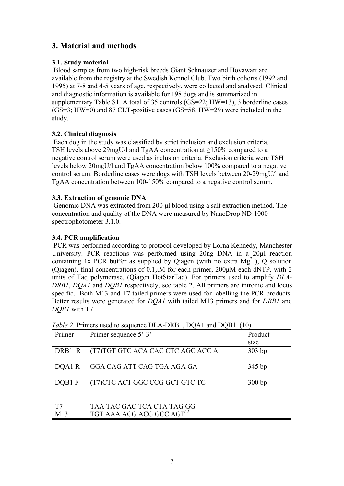### **3. Material and methods**

#### **3.1. Study material**

 Blood samples from two high-risk breeds Giant Schnauzer and Hovawart are available from the registry at the Swedish Kennel Club. Two birth cohorts (1992 and 1995) at 7-8 and 4-5 years of age, respectively, were collected and analysed. Clinical and diagnostic information is available for 198 dogs and is summarized in supplementary Table S1. A total of 35 controls (GS=22; HW=13), 3 borderline cases (GS=3; HW=0) and 87 CLT-positive cases (GS=58; HW=29) were included in the study.

#### **3.2. Clinical diagnosis**

 Each dog in the study was classified by strict inclusion and exclusion criteria. TSH levels above 29mgU/l and TgAA concentration at  $\geq$ 150% compared to a negative control serum were used as inclusion criteria. Exclusion criteria were TSH levels below 20mgU/l and TgAA concentration below 100% compared to a negative control serum. Borderline cases were dogs with TSH levels between 20-29mgU/l and TgAA concentration between 100-150% compared to a negative control serum.

#### **3.3. Extraction of genomic DNA**

 Genomic DNA was extracted from 200 μl blood using a salt extraction method. The concentration and quality of the DNA were measured by NanoDrop ND-1000 spectrophotometer 3.1.0.

#### **3.4. PCR amplification**

 PCR was performed according to protocol developed by Lorna Kennedy, Manchester University. PCR reactions was performed using 20ng DNA in a 20µl reaction containing 1x PCR buffer as supplied by Qiagen (with no extra  $Mg^{2+}$ ), Q solution (Qiagen), final concentrations of 0.1µM for each primer, 200µM each dNTP, with 2 units of Taq polymerase, (Qiagen HotStarTaq). For primers used to amplify *DLA-DRB1*, *DQA1* and *DQB1* respectively, see table 2. All primers are intronic and locus specific. Both M13 and T7 tailed primers were used for labelling the PCR products. Better results were generated for *DQA1* with tailed M13 primers and for *DRB1* and *DQB1* with T7.

| Primer | Primer sequence 5'-3'                    | Product  |
|--------|------------------------------------------|----------|
|        |                                          | size     |
|        | DRB1 R (T7)TGT GTC ACA CAC CTC AGC ACC A | $303$ bp |
| DOA1R  | GGA CAG ATT CAG TGA AGA GA               | 345 bp   |
| DOB1 F | (T7) CTC ACT GGC CCG GCT GTC TC          | 300bp    |
|        | TI A A I A TA I ATI TI A A A             |          |

*Table 2.* Primers used to sequence DLA-DRB1, DOA1 and DOB1 (10)

| T7  | TAA TAC GAC TCA CTA TAG GG            |
|-----|---------------------------------------|
| M13 | TGT AAA ACG ACG GCC AGT <sup>15</sup> |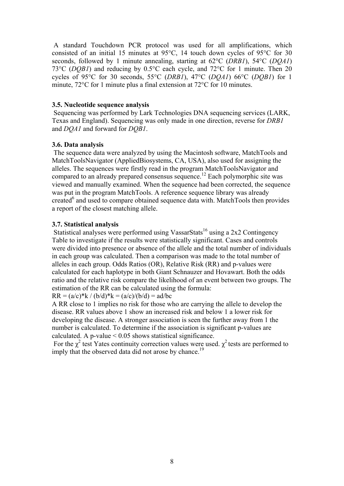A standard Touchdown PCR protocol was used for all amplifications, which consisted of an initial 15 minutes at 95°C, 14 touch down cycles of 95°C for 30 seconds, followed by 1 minute annealing, starting at 62°C (*DRB1*), 54°C (*DQA1*) 73°C (*DQB1*) and reducing by 0.5°C each cycle, and 72°C for 1 minute. Then 20 cycles of 95°C for 30 seconds, 55°C (*DRB1*), 47°C (*DQA1*) 66°C (*DQB1*) for 1 minute, 72°C for 1 minute plus a final extension at 72°C for 10 minutes.

#### **3.5. Nucleotide sequence analysis**

 Sequencing was performed by Lark Technologies DNA sequencing services (LARK, Texas and England). Sequencing was only made in one direction, reverse for *DRB1* and *DQA1* and forward for *DQB1*.

#### **3.6. Data analysis**

 The sequence data were analyzed by using the Macintosh software, MatchTools and MatchToolsNavigator (AppliedBiosystems, CA, USA), also used for assigning the alleles. The sequences were firstly read in the program MatchToolsNavigator and compared to an already prepared consensus sequence.12 Each polymorphic site was viewed and manually examined. When the sequence had been corrected, the sequence was put in the program MatchTools. A reference sequence library was already created<sup>6</sup> and used to compare obtained sequence data with. MatchTools then provides a report of the closest matching allele.

#### **3.7. Statistical analysis**

Statistical analyses were performed using VassarStats<sup>16</sup> using a 2x2 Contingency Table to investigate if the results were statistically significant. Cases and controls were divided into presence or absence of the allele and the total number of individuals in each group was calculated. Then a comparison was made to the total number of alleles in each group. Odds Ratios (OR), Relative Risk (RR) and p-values were calculated for each haplotype in both Giant Schnauzer and Hovawart. Both the odds ratio and the relative risk compare the likelihood of an event between two groups. The estimation of the RR can be calculated using the formula:

 $RR = (a/c)*k / (b/d)*k = (a/c)/(b/d) = ad/bc$ 

A RR close to 1 implies no risk for those who are carrying the allele to develop the disease. RR values above 1 show an increased risk and below 1 a lower risk for developing the disease. A stronger association is seen the further away from 1 the number is calculated. To determine if the association is significant p-values are calculated. A p-value  $< 0.05$  shows statistical significance.

For the  $\chi^2$  test Yates continuity correction values were used.  $\chi^2$  tests are performed to imply that the observed data did not arose by chance.<sup>19</sup>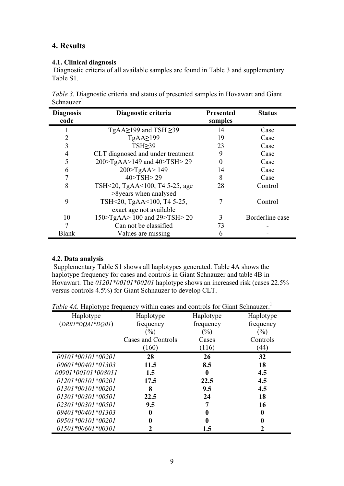## **4. Results**

#### **4.1. Clinical diagnosis**

 Diagnostic criteria of all available samples are found in Table 3 and supplementary Table S1.

| <i>Table 3.</i> Diagnostic criteria and status of presented samples in Hovawart and Giant |  |
|-------------------------------------------------------------------------------------------|--|
| Schnauzer <sup>1</sup> .                                                                  |  |

| <b>Diagnosis</b> | Diagnostic criteria               | <b>Presented</b> | <b>Status</b>   |
|------------------|-----------------------------------|------------------|-----------------|
| code             |                                   | samples          |                 |
|                  | TgAA $\geq$ 199 and TSH $\geq$ 39 | 14               | Case            |
| 2                | TgAA2199                          | 19               | Case            |
| 3                | TSH239                            | 23               | Case            |
| 4                | CLT diagnosed and under treatment | 9                | Case            |
| 5                | 200>TgAA>149 and 40>TSH> 29       | 0                | Case            |
| 6                | $200$ - TgAA > 149                | 14               | Case            |
|                  | 40 > TSH > 29                     | 8                | Case            |
| 8                | TSH<20, TgAA<100, T4 5-25, age    | 28               | Control         |
|                  | >8years when analysed             |                  |                 |
| 9                | TSH<20, TgAA<100, T4 5-25,        |                  | Control         |
|                  | exact age not available           |                  |                 |
| 10               | 150>TgAA> 100 and 29>TSH> 20      | 3                | Borderline case |
| 9                | Can not be classified             | 73               |                 |
| <b>Blank</b>     | Values are missing                | 6                |                 |

#### **4.2. Data analysis**

 Supplementary Table S1 shows all haplotypes generated. Table 4A shows the haplotype frequency for cases and controls in Giant Schnauzer and table 4B in Hovawart. The *01201\*00101\*00201* haplotype shows an increased risk (cases 22.5% versus controls 4.5%) for Giant Schnauzer to develop CLT.

*Table 4A.* Haplotype frequency within cases and controls for Giant Schnauzer.<sup>1</sup>

| Haplotype           | Haplotype          | Haplotype | Haplotype |
|---------------------|--------------------|-----------|-----------|
| $(DRBI*DQAI*DQBI)$  | frequency          | frequency | frequency |
|                     | $(\%)$             | $(\%)$    | $(\%)$    |
|                     | Cases and Controls | Cases     | Controls  |
|                     | (160)              | (116)     | (44)      |
| 00101*00101*00201   | 28                 | 26        | 32        |
| 00601*00401*01303   | 11.5               | 8.5       | 18        |
| 00901*00101*008011  | 1.5                | 0         | 4.5       |
| $01201*00101*00201$ | 17.5               | 22.5      | 4.5       |
| $01301*00101*00201$ | 8                  | 9.5       | 4.5       |
| $01301*00301*00501$ | 22.5               | 24        | 18        |
| 02301*00301*00501   | 9.5                | 7         | 16        |
| 09401*00401*01303   | 0                  | 0         |           |
| 09501*00101*00201   | 0                  | 0         |           |
| 01501*00601*00301   | 2                  | 1.5       |           |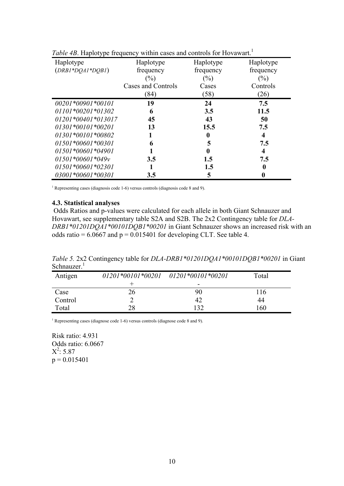|                      | <i>rable 4D.</i> Haplotype hequency within cases and controls for Hovaward. |                  |                  |
|----------------------|-----------------------------------------------------------------------------|------------------|------------------|
| Haplotype            | Haplotype                                                                   | Haplotype        | Haplotype        |
| $(DRBI*DQAI*DQBI)$   | frequency                                                                   | frequency        | frequency        |
|                      | $(\%)$                                                                      | $(\%)$           | $(\%)$           |
|                      | Cases and Controls                                                          | Cases            | Controls         |
|                      | (84)                                                                        | (58)             | (26)             |
| 00201*00901*00101    | 19                                                                          | 24               | 7.5              |
| $01101*00201*01302$  | 6                                                                           | 3.5              | 11.5             |
| $01201*00401*013017$ | 45                                                                          | 43               | 50               |
| $01301*00101*00201$  | 13                                                                          | 15.5             | 7.5              |
| $01301*00101*00802$  |                                                                             | 0                | 4                |
| $01501*00601*00301$  | 6                                                                           | 5                | 7.5              |
| $01501*00601*04901$  |                                                                             | $\boldsymbol{0}$ | 4                |
| $01501*00601*049v$   | 3.5                                                                         | 1.5              | 7.5              |
| 01501*00601*02301    |                                                                             | 1.5              | 0                |
| 03001*00601*00301    | 3.5                                                                         | 5                | $\boldsymbol{0}$ |

*Table 4B.* Haplotype frequency within cases and controls for Hovewart.<sup>1</sup>

<sup>1</sup> Representing cases (diagnosis code 1-6) versus controls (diagnosis code 8 and 9).

#### **4.3. Statistical analyses**

 Odds Ratios and p-values were calculated for each allele in both Giant Schnauzer and Hovawart, see supplementary table S2A and S2B. The 2x2 Contingency table for *DLA-DRB1\*01201DQA1\*00101DQB1\*00201* in Giant Schnauzer shows an increased risk with an odds ratio =  $6.0667$  and  $p = 0.015401$  for developing CLT. See table 4.

*Table 5.* 2x2 Contingency table for *DLA-DRB1\*01201DQA1\*00101DQB1\*00201* in Giant Schnauzer $<sup>1</sup>$ </sup>

| Antigen |    | $01201*00101*00201$ $01201*00101*00201$ | Total |
|---------|----|-----------------------------------------|-------|
|         |    | -                                       |       |
| Case    | 26 | 90                                      | 116   |
| Control |    | 42                                      | 44    |
| Total   | 28 | 132                                     | -60   |

1 Representing cases (diagnose code 1-6) versus controls (diagnose code 8 and 9).

Risk ratio: 4.931 Odds ratio: 6.0667  $X^2$ : 5.87  $p = 0.015401$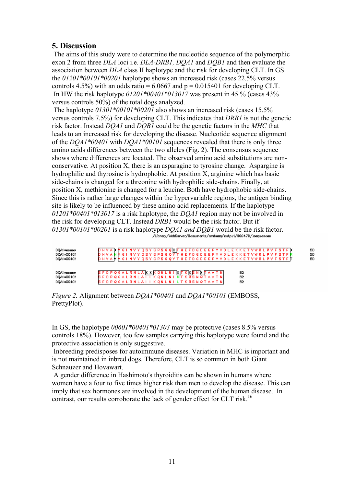#### **5. Discussion**

 The aims of this study were to determine the nucleotide sequence of the polymorphic exon 2 from three *DLA* loci i.e. *DLA-DRB1, DQA1* and *DQB1* and then evaluate the association between *DLA* class II haplotype and the risk for developing CLT. In GS the *01201\*00101\*00201* haplotype shows an increased risk (cases 22.5% versus controls 4.5%) with an odds ratio = 6.0667 and  $p = 0.015401$  for developing CLT. In HW the risk haplotype *01201\*00401\*013017* was present in 45 % (cases 43% versus controls 50%) of the total dogs analyzed.

 The haplotype *01301\*00101\*00201* also shows an increased risk (cases 15.5% versus controls 7.5%) for developing CLT. This indicates that *DRB1* is not the genetic risk factor. Instead *DQA1* and *DQB1* could be the genetic factors in the *MHC* that leads to an increased risk for developing the disease. Nucleotide sequence alignment of the *DQA1\*00401* with *DQA1\*00101* sequences revealed that there is only three amino acids differences between the two alleles (Fig. 2). The consensus sequence shows where differences are located. The observed amino acid substitutions are nonconservative. At position X, there is an asparagine to tyrosine change. Aspargine is hydrophilic and thyrosine is hydrophobic. At position X, arginine which has basic side-chains is changed for a threonine with hydrophilic side-chains. Finally, at position X, methionine is changed for a leucine. Both have hydrophobic side-chains. Since this is rather large changes within the hypervariable regions, the antigen binding site is likely to be influenced by these amino acid replacements. If the haplotype *01201\*00401\*013017* is a risk haplotype, the *DQA1* region may not be involved in the risk for developing CLT. Instead *DRB1* would be the risk factor. But if *01301\*00101\*00201* is a risk haplotype *DQA1 and DQB1* would be the risk factor.

| DQA1×conse<br>DQA1×00101<br>DQA1×00401 | D H V A K K G I N V Y Q S Y G P S G Q K T H E F D G D E E F Y V D L E K K E T V W R L P V F S T F K<br>D H V A N K G I N V Y Q S Y G P S G Q Y T H E F D G D E E F Y V D L E K K E T V W R L P V F S T F R<br>D H V A K K G I N V Y Q S Y G P S G Q Y T H E F D G D E E F Y V D L E K K E T V W R L P V F S T F T |  |
|----------------------------------------|-------------------------------------------------------------------------------------------------------------------------------------------------------------------------------------------------------------------------------------------------------------------------------------------------------------------|--|
| DQA1×conse<br>DQA1×00101<br>DQA1×00401 | S F D P Q G A L R N L A K X K Q N L N I K F K K S N K F A A T N  <br>82<br>SFDPQGALRNLATTKQNLNINTKRSNQTAATN<br>82<br>S F D P Q G A L R N L A I I K Q N L N I L T K R S N Q T A A T N I<br>82                                                                                                                      |  |

*Figure 2.* Alignment between *DQA1\*00401* and *DQA1\*00101* (EMBOSS, PrettyPlot).

In GS, the haplotype *00601\*00401\*01303* may be protective (cases 8.5% versus controls 18%). However, too few samples carrying this haplotype were found and the protective association is only suggestive.

 Inbreeding predisposes for autoimmune diseases. Variation in MHC is important and is not maintained in inbred dogs. Therefore, CLT is so common in both Giant Schnauzer and Hovawart.

 A gender difference in Hashimoto's thyroiditis can be shown in humans where women have a four to five times higher risk than men to develop the disease. This can imply that sex hormones are involved in the development of the human disease. In contrast, our results corroborate the lack of gender effect for CLT risk.<sup>16</sup>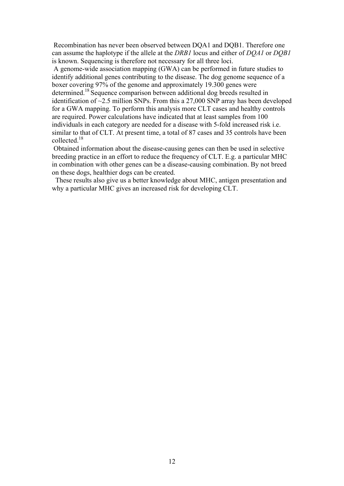Recombination has never been observed between DQA1 and DQB1. Therefore one can assume the haplotype if the allele at the *DRB1* locus and either of *DQA1* or *DQB1* is known. Sequencing is therefore not necessary for all three loci.

 A genome-wide association mapping (GWA) can be performed in future studies to identify additional genes contributing to the disease. The dog genome sequence of a boxer covering 97% of the genome and approximately 19.300 genes were determined.<sup>18</sup> Sequence comparison between additional dog breeds resulted in identification of  $\sim$ 2.5 million SNPs. From this a 27,000 SNP array has been developed for a GWA mapping. To perform this analysis more CLT cases and healthy controls are required. Power calculations have indicated that at least samples from 100 individuals in each category are needed for a disease with 5-fold increased risk i.e. similar to that of CLT. At present time, a total of 87 cases and 35 controls have been collected.18

 Obtained information about the disease-causing genes can then be used in selective breeding practice in an effort to reduce the frequency of CLT. E.g. a particular MHC in combination with other genes can be a disease-causing combination. By not breed on these dogs, healthier dogs can be created.

 These results also give us a better knowledge about MHC, antigen presentation and why a particular MHC gives an increased risk for developing CLT.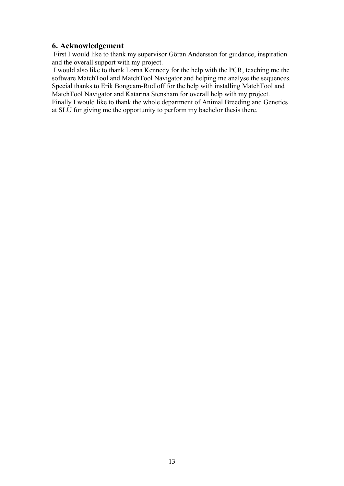#### **6. Acknowledgement**

 First I would like to thank my supervisor Göran Andersson for guidance, inspiration and the overall support with my project.

 I would also like to thank Lorna Kennedy for the help with the PCR, teaching me the software MatchTool and MatchTool Navigator and helping me analyse the sequences. Special thanks to Erik Bongcam-Rudloff for the help with installing MatchTool and MatchTool Navigator and Katarina Stensham for overall help with my project. Finally I would like to thank the whole department of Animal Breeding and Genetics at SLU for giving me the opportunity to perform my bachelor thesis there.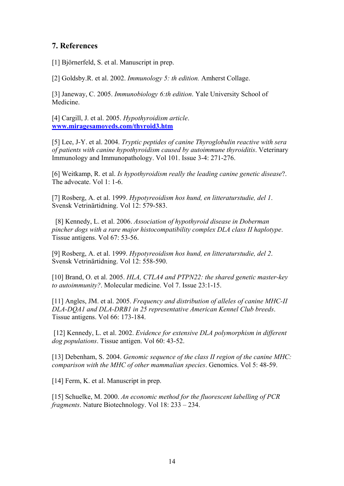#### **7. References**

[1] Björnerfeld, S. et al. Manuscript in prep.

[2] Goldsby.R. et al. 2002. *Immunology 5: th edition.* Amherst Collage.

[3] Janeway, C. 2005. *Immunobiology 6:th edition*. Yale University School of Medicine.

[4] Cargill, J. et al. 2005. *Hypothyroidism article*. **www.miragesamoyeds.com/thyroid3.htm**

[5] Lee, J-Y. et al. 2004. *Tryptic peptides of canine Thyroglobulin reactive with sera of patients with canine hypothyroidism caused by autoimmune thyroiditis*. Veterinary Immunology and Immunopathology. Vol 101. Issue 3-4: 271-276.

[6] Weitkamp, R. et al. *Is hypothyroidism really the leading canine genetic disease*?. The advocate. Vol 1: 1-6.

[7] Rosberg, A. et al. 1999. *Hypotyreoidism hos hund, en litteraturstudie, del 1*. Svensk Vetrinärtidning. Vol 12: 579-583.

[8] Kennedy, L. et al. 2006. *Association of hypothyroid disease in Doberman pincher dogs with a rare major histocompatibility complex DLA class II haplotype*. Tissue antigens. Vol 67: 53-56.

[9] Rosberg, A. et al. 1999. *Hypotyreoidism hos hund, en litteraturstudie, del 2*. Svensk Vetrinärtidning. Vol 12: 558-590.

[10] Brand, O. et al. 2005. *HLA, CTLA4 and PTPN22: the shared genetic master-key to autoimmunity?*. Molecular medicine. Vol 7. Issue 23:1-15.

[11] Angles, JM. et al. 2005. *Frequency and distribution of alleles of canine MHC-II DLA-DQA1 and DLA-DRB1 in 25 representative American Kennel Club breeds*. Tissue antigens. Vol 66: 173-184.

 [12] Kennedy, L. et al. 2002. *Evidence for extensive DLA polymorphism in different dog populations*. Tissue antigen. Vol 60: 43-52.

[13] Debenham, S. 2004. *Genomic sequence of the class II region of the canine MHC: comparison with the MHC of other mammalian species*. Genomics. Vol 5: 48-59.

[14] Ferm, K. et al. Manuscript in prep.

[15] Schuelke, M. 2000. *An economic method for the fluorescent labelling of PCR fragments*. Nature Biotechnology. Vol 18: 233 – 234.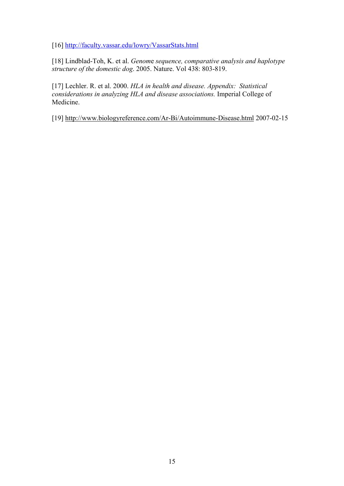[16] http://faculty.vassar.edu/lowry/VassarStats.html

[18] Lindblad-Toh, K. et al. *Genom*e *sequence, comparative analysis and haplotype structure of the domestic dog*. 2005. Nature. Vol 438: 803-819.

[17] Lechler. R. et al. 2000. *HLA in health and disease. Appendix: Statistical considerations in analyzing HLA and disease associations.* Imperial College of Medicine.

[19] http://www.biologyreference.com/Ar-Bi/Autoimmune-Disease.html 2007-02-15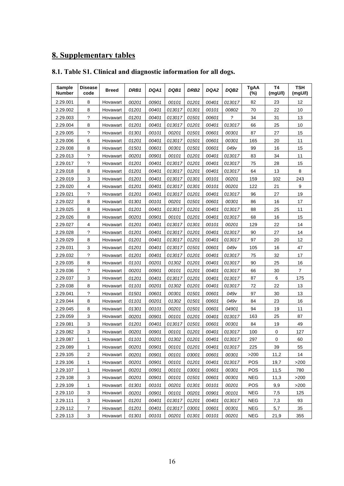# **8. Supplementary tables**

|  |  |  |  |  | 8.1. Table S1. Clinical and diagnostic information for all dogs. |
|--|--|--|--|--|------------------------------------------------------------------|
|--|--|--|--|--|------------------------------------------------------------------|

| Sample<br><b>Number</b> | <b>Disease</b><br>code | <b>Breed</b> | DRB1  | DQA1  | DQB1   | DRB <sub>2</sub> | DQA2  | DQB <sub>2</sub> | <b>TgAA</b><br>$(\%)$ | T4<br>(mgU/I) | <b>TSH</b><br>(mgU/I) |
|-------------------------|------------------------|--------------|-------|-------|--------|------------------|-------|------------------|-----------------------|---------------|-----------------------|
| 2.29.001                | 8                      | Hovawart     | 00201 | 00901 | 00101  | 01201            | 00401 | 013017           | 82                    | 23            | 12                    |
| 2.29.002                | 8                      | Hovawart     | 01201 | 00401 | 013017 | 01301            | 00101 | 00802            | 70                    | 22            | 10                    |
| 2.29.003                | $\ddot{?}$             | Hovawart     | 01201 | 00401 | 013017 | 01501            | 00601 | $\tilde{?}$      | 34                    | 31            | 13                    |
| 2.29.004                | 8                      | Hovawart     | 01201 | 00401 | 013017 | 01201            | 00401 | 013017           | 66                    | 25            | 10                    |
| 2.29.005                | ?                      | Hovawart     | 01301 | 00101 | 00201  | 01501            | 00601 | 00301            | 87                    | 27            | 15                    |
| 2.29.006                | 6                      | Hovawart     | 01201 | 00401 | 013017 | 01501            | 00601 | 00301            | 165                   | 20            | 11                    |
| 2.29.008                | 8                      | Hovawart     | 01501 | 00601 | 00301  | 01501            | 00601 | 049v             | 99                    | 16            | 15                    |
| 2.29.013                | $\tilde{?}$            | Hovawart     | 00201 | 00901 | 00101  | 01201            | 00401 | 013017           | 83                    | 34            | 11                    |
| 2.29.017                | $\tilde{?}$            | Hovawart     | 01201 | 00401 | 013017 | 01201            | 00401 | 013017           | 75                    | 28            | 15                    |
| 2.29.018                | 8                      | Hovawart     | 01201 | 00401 | 013017 | 01201            | 00401 | 013017           | 64                    | 13            | 8                     |
| 2.29.019                | 3                      | Hovawart     | 01201 | 00401 | 013017 | 01301            | 00101 | 00201            | 159                   | 102           | 243                   |
| 2.29.020                | 4                      | Hovawart     | 01201 | 00401 | 013017 | 01301            | 00101 | 00201            | 122                   | 21            | 9                     |
| 2.29.021                | $\tilde{?}$            | Hovawart     | 01201 | 00401 | 013017 | 01201            | 00401 | 013017           | 96                    | 27            | 19                    |
| 2.29.022                | 8                      | Hovawart     | 01301 | 00101 | 00201  | 01501            | 00601 | 00301            | 86                    | 16            | 17                    |
| 2.29.025                | 8                      | Hovawart     | 01201 | 00401 | 013017 | 01201            | 00401 | 013017           | 88                    | 25            | 11                    |
| 2.29.026                | 8                      | Hovawart     | 00201 | 00901 | 00101  | 01201            | 00401 | 013017           | 68                    | 16            | 15                    |
| 2.29.027                | 4                      | Hovawart     | 01201 | 00401 | 013017 | 01301            | 00101 | 00201            | 129                   | 22            | 14                    |
| 2.29.028                | ?                      | Hovawart     | 01201 | 00401 | 013017 | 01201            | 00401 | 013017           | 90                    | 27            | 14                    |
| 2.29.029                | 8                      | Hovawart     | 01201 | 00401 | 013017 | 01201            | 00401 | 013017           | 97                    | 20            | 12                    |
| 2.29.031                | 3                      | Hovawart     | 01201 | 00401 | 013017 | 01501            | 00601 | 049v             | 105                   | 16            | 47                    |
| 2.29.032                | ?                      | Hovawart     | 01201 | 00401 | 013017 | 01201            | 00401 | 013017           | 75                    | 32            | 17                    |
| 2.29.035                | 8                      | Hovawart     | 01101 | 00201 | 01302  | 01201            | 00401 | 013017           | 90                    | 25            | 16                    |
| 2.29.036                | $\overline{?}$         | Hovawart     | 00201 | 00901 | 00101  | 01201            | 00401 | 013017           | 66                    | 30            | $\overline{7}$        |
| 2.29.037                | 3                      | Hovawart     | 01201 | 00401 | 013017 | 01201            | 00401 | 013017           | 87                    | 6             | 175                   |
| 2.29.038                | 8                      | Hovawart     | 01101 | 00201 | 01302  | 01201            | 00401 | 013017           | 72                    | 22            | 13                    |
| 2.29.041                | ?                      | Hovawart     | 01501 | 00601 | 00301  | 01501            | 00601 | 049v             | 97                    | 30            | 13                    |
| 2.29.044                | 8                      | Hovawart     | 01101 | 00201 | 01302  | 01501            | 00601 | 049v             | 84                    | 23            | 16                    |
| 2.29.045                | 8                      | Hovawart     | 01301 | 00101 | 00201  | 01501            | 00601 | 04901            | 94                    | 19            | 11                    |
| 2.29.059                | 3                      | Hovawart     | 00201 | 00901 | 00101  | 01201            | 00401 | 013017           | 163                   | 25            | 87                    |
| 2.29.081                | 3                      | Hovawart     | 01201 | 00401 | 013017 | 01501            | 00601 | 00301            | 84                    | 19            | 49                    |
| 2.29.082                | 3                      | Hovawart     | 00201 | 00901 | 00101  | 01201            | 00401 | 013017           | 100                   | 0             | 127                   |
| 2.29.087                | 1.                     | Hovawart     | 01101 | 00201 | 01302  | 01201            | 00401 | 013017           | 297                   | $\Omega$      | 60                    |
| 2.29.089                | $\mathbf{1}$           | Hovawart     | 00201 | 00901 | 00101  | 01201            | 00401 | 013017           | 225                   | 39            | 55                    |
| 2.29.105                | 2                      | Hovawart     | 00201 | 00901 | 00101  | 03001            | 00601 | 00301            | >200                  | 11,2          | 14                    |
| 2.29.106                | 1                      | Hovawart     | 00201 | 00901 | 00101  | 01201            | 00401 | 013017           | POS                   | 19,7          | $>200$                |
| 2.29.107                | 1                      | Hovawart     | 00201 | 00901 | 00101  | 03001            | 00601 | 00301            | POS                   | 11,5          | 780                   |
| 2.29.108                | 3                      | Hovawart     | 00201 | 00901 | 00101  | 01501            | 00601 | 00301            | <b>NEG</b>            | 11,3          | >200                  |
| 2.29.109                | $\mathbf{1}$           | Hovawart     | 01301 | 00101 | 00201  | 01301            | 00101 | 00201            | POS                   | 9,9           | >200                  |
| 2.29.110                | 3                      | Hovawart     | 00201 | 00901 | 00101  | 00201            | 00901 | 00101            | <b>NEG</b>            | 7,5           | 125                   |
| 2.29.111                | 3                      | Hovawart     | 01201 | 00401 | 013017 | 01201            | 00401 | 013017           | <b>NEG</b>            | 7,3           | 93                    |
| 2.29.112                | 7                      | Hovawart     | 01201 | 00401 | 013017 | 03001            | 00601 | 00301            | <b>NEG</b>            | 5,7           | 35                    |
| 2.29.113                | 3                      | Hovawart     | 01301 | 00101 | 00201  | 01301            | 00101 | 00201            | <b>NEG</b>            | 21,9          | 355                   |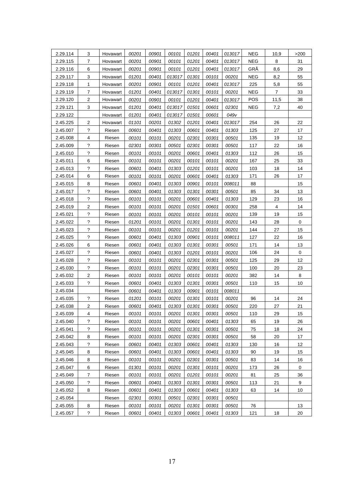| 2.29.114 | 3                          | Hovawart | 00201 | 00901 | 00101  | 01201 | 00401 | 013017 | <b>NEG</b> | 10,9           | >200        |
|----------|----------------------------|----------|-------|-------|--------|-------|-------|--------|------------|----------------|-------------|
| 2.29.115 | 7                          | Hovawart | 00201 | 00901 | 00101  | 01201 | 00401 | 013017 | <b>NEG</b> | 8              | 31          |
| 2.29.116 | 6                          | Hovawart | 00201 | 00901 | 00101  | 01201 | 00401 | 013017 | GRÅ        | 8,6            | 29          |
| 2.29.117 | 3                          | Hovawart | 01201 | 00401 | 013017 | 01301 | 00101 | 00201  | <b>NEG</b> | 8,2            | 55          |
| 2.29.118 | $\mathbf{1}$               | Hovawart | 00201 | 00901 | 00101  | 01201 | 00401 | 013017 | 225        | 5,8            | 55          |
| 2.29.119 | 7                          | Hovawart | 01201 | 00401 | 013017 | 01301 | 00101 | 00201  | <b>NEG</b> | $\overline{7}$ | 33          |
| 2.29.120 | $\overline{2}$             | Hovawart | 00201 | 00901 | 00101  | 01201 | 00401 | 013017 | POS        | 11,5           | 38          |
| 2.29.121 | 3                          | Hovawart | 01201 | 00401 | 013017 | 01501 | 00601 | 02301  | <b>NEG</b> | 7,2            | 40          |
| 2.29.122 |                            | Hovawart | 01201 | 00401 | 013017 | 01501 | 00601 | 049v   |            |                |             |
| 2.45.225 | $\overline{2}$             | Hovawart | 01101 | 00201 | 01302  | 01201 | 00401 | 013017 | 254        | 26             | 22          |
| 2.45.007 | $\tilde{?}$                | Riesen   | 00601 | 00401 | 01303  | 00601 | 00401 | 01303  | 125        | 27             | 17          |
| 2.45.008 | 4                          | Riesen   | 00101 | 00101 | 00201  | 02301 | 00301 | 00501  | 135        | 19             | 12          |
| 2.45.009 | ?                          | Riesen   | 02301 | 00301 | 00501  | 02301 | 00301 | 00501  | 117        | 22             | 16          |
| 2.45.010 | $\tilde{?}$                | Riesen   | 00101 | 00101 | 00201  | 00601 | 00401 | 01303  | 112        | 26             | 15          |
| 2.45.011 | 6                          | Riesen   | 00101 | 00101 | 00201  | 00101 | 00101 | 00201  | 167        | 25             | 33          |
| 2.45.013 | $\tilde{?}$                | Riesen   | 00601 | 00401 | 01303  | 01201 | 00101 | 00201  | 103        | 18             | 14          |
| 2.45.014 | 6                          | Riesen   | 00101 | 00101 | 00201  | 00601 | 00401 | 01303  | 171        | 26             | 17          |
| 2.45.015 | 8                          | Riesen   | 00601 | 00401 | 01303  | 00901 | 00101 | 008011 | 88         |                | 15          |
| 2.45.017 | $\tilde{?}$                | Riesen   | 00601 | 00401 | 01303  | 01301 | 00301 | 00501  | 85         | 34             | 13          |
| 2.45.018 | $\gamma$                   | Riesen   | 00101 | 00101 | 00201  | 00601 | 00401 | 01303  | 129        | 23             | 16          |
| 2.45.019 | 2                          | Riesen   | 00101 | 00101 | 00201  | 01501 | 00601 | 00301  | 258        | 4              | 14          |
| 2.45.021 | ?                          | Riesen   | 00101 | 00101 | 00201  | 00101 | 00101 | 00201  | 139        | 19             | 15          |
| 2.45.022 | ?                          | Riesen   | 01201 | 00101 | 00201  | 01301 | 00101 | 00201  | 143        | 28             | $\mathbf 0$ |
| 2.45.023 | $\boldsymbol{\mathcal{P}}$ | Riesen   | 00101 | 00101 | 00201  | 01201 | 00101 | 00201  | 144        | 27             | 15          |
| 2.45.025 | $\tilde{?}$                | Riesen   | 00601 | 00401 | 01303  | 00901 | 00101 | 008011 | 127        | 22             | 16          |
| 2.45.026 | 6                          | Riesen   | 00601 | 00401 | 01303  | 01301 | 00301 | 00501  | 171        | 14             | 13          |
| 2.45.027 | ?                          | Riesen   | 00601 | 00401 | 01303  | 01201 | 00101 | 00201  | 106        | 24             | $\pmb{0}$   |
| 2.45.028 | $\gamma$                   | Riesen   | 00101 | 00101 | 00201  | 02301 | 00301 | 00501  | 125        | 29             | 12          |
| 2.45.030 | $\tilde{?}$                | Riesen   | 00101 | 00101 | 00201  | 02301 | 00301 | 00501  | 100        | 20             | 23          |
| 2.45.032 | 2                          | Riesen   | 00101 | 00101 | 00201  | 00101 | 00101 | 00201  | 382        | 14             | $\bf 8$     |
| 2.45.033 | $\gamma$                   | Riesen   | 00601 | 00401 | 01303  | 01301 | 00301 | 00501  | 110        | 15             | 10          |
| 2.45.034 |                            | Riesen   | 00601 | 00401 | 01303  | 00901 | 00101 | 008011 |            |                |             |
| 2.45.035 | $\gamma$                   | Riesen   | 01201 | 00101 | 00201  | 01301 | 00101 | 00201  | 96         | 14             | 24          |
| 2.45.038 | 2                          | Riesen   | 00601 | 00401 | 01303  | 01301 | 00301 | 00501  | 220        | 27             | 21          |
| 2.45.039 | 4                          | Riesen   | 00101 | 00101 | 00201  | 01301 | 00301 | 00501  | 110        | 29             | 15          |
| 2.45.040 | $\tilde{?}$                | Riesen   | 00101 | 00101 | 00201  | 00601 | 00401 | 01303  | 65         | 19             | 26          |
| 2.45.041 | ?                          | Riesen   | 00101 | 00101 | 00201  | 01301 | 00301 | 00501  | 75         | 18             | 24          |
| 2.45.042 | 8                          | Riesen   | 00101 | 00101 | 00201  | 02301 | 00301 | 00501  | 58         | 20             | 17          |
| 2.45.043 | $\gamma$                   | Riesen   | 00601 | 00401 | 01303  | 00601 | 00401 | 01303  | 130        | 16             | 12          |
| 2.45.045 | 8                          | Riesen   | 00601 | 00401 | 01303  | 00601 | 00401 | 01303  | 90         | 19             | 15          |
| 2.45.046 | 8                          | Riesen   | 00101 | 00101 | 00201  | 02301 | 00301 | 00501  | 83         | 14             | 16          |
| 2.45.047 | 6                          | Riesen   | 01301 | 00101 | 00201  | 01301 | 00101 | 00201  | 173        | 26             | 0           |
| 2.45.049 | $\overline{7}$             | Riesen   | 00101 | 00101 | 00201  | 01201 | 00101 | 00201  | 81         | 25             | 36          |
| 2.45.050 | ?                          | Riesen   | 00601 | 00401 | 01303  | 01301 | 00301 | 00501  | 113        | 21             | 9           |
| 2.45.052 | 8                          | Riesen   | 00601 | 00401 | 01303  | 00601 | 00401 | 01303  | 63         | 14             | 10          |
| 2.45.054 |                            | Riesen   | 02301 | 00301 | 00501  | 02301 | 00301 | 00501  |            |                |             |
| 2.45.055 | 8                          | Riesen   | 00101 | 00101 | 00201  | 01301 | 00301 | 00501  | 76         |                | 13          |
| 2.45.057 | $\tilde{?}$                | Riesen   | 00601 | 00401 | 01303  | 00601 | 00401 | 01303  | 121        | 18             | 20          |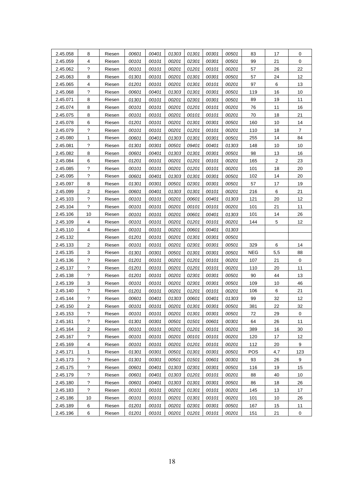| 2.45.058 | 8                       | Riesen | 00601 | 00401 | 01303 | 01301 | 00301 | 00501 | 83         | 17               | 0              |
|----------|-------------------------|--------|-------|-------|-------|-------|-------|-------|------------|------------------|----------------|
| 2.45.059 | 4                       | Riesen | 00101 | 00101 | 00201 | 02301 | 00301 | 00501 | 99         | 21               | $\pmb{0}$      |
| 2.45.062 | $\gamma$                | Riesen | 00101 | 00101 | 00201 | 01201 | 00101 | 00201 | 57         | 26               | 22             |
| 2.45.063 | 8                       | Riesen | 01301 | 00101 | 00201 | 01301 | 00301 | 00501 | 57         | 24               | 12             |
| 2.45.065 | 4                       | Riesen | 01201 | 00101 | 00201 | 01301 | 00101 | 00201 | 97         | $\,6\,$          | 13             |
| 2.45.068 | $\tilde{?}$             | Riesen | 00601 | 00401 | 01303 | 01301 | 00301 | 00501 | 119        | 16               | 10             |
| 2.45.071 | 8                       | Riesen | 01301 | 00101 | 00201 | 02301 | 00301 | 00501 | 89         | 19               | 11             |
| 2.45.074 | 8                       | Riesen | 00101 | 00101 | 00201 | 01201 | 00101 | 00201 | 76         | 11               | 16             |
| 2.45.075 | 8                       | Riesen | 00101 | 00101 | 00201 | 00101 | 00101 | 00201 | 70         | 18               | 21             |
| 2.45.078 | 6                       | Riesen | 01201 | 00101 | 00201 | 01301 | 00301 | 00501 | 160        | 10               | 14             |
| 2.45.079 | ?                       | Riesen | 00101 | 00101 | 00201 | 01201 | 00101 | 00201 | 110        | 18               | $\overline{7}$ |
| 2.45.080 | 1                       | Riesen | 00601 | 00401 | 01303 | 01301 | 00301 | 00501 | 255        | 14               | 84             |
| 2.45.081 | ?                       | Riesen | 01301 | 00301 | 00501 | 09401 | 00401 | 01303 | 148        | 10               | 10             |
| 2.45.082 | 8                       | Riesen | 00601 | 00401 | 01303 | 01301 | 00301 | 00501 | 98         | 13               | 16             |
| 2.45.084 | 6                       | Riesen | 01201 | 00101 | 00201 | 01201 | 00101 | 00201 | 165        | $\boldsymbol{2}$ | 23             |
| 2.45.085 | $\tilde{?}$             | Riesen | 00101 | 00101 | 00201 | 01201 | 00101 | 00201 | 101        | 18               | 20             |
| 2.45.095 | ?                       | Riesen | 00601 | 00401 | 01303 | 01301 | 00301 | 00501 | 102        | 14               | 20             |
| 2.45.097 | 8                       | Riesen | 01301 | 00301 | 00501 | 02301 | 00301 | 00501 | 57         | 17               | 19             |
| 2.45.099 | $\overline{2}$          | Riesen | 00601 | 00401 | 01303 | 01301 | 00101 | 00201 | 216        | 6                | 21             |
| 2.45.103 | ?                       | Riesen | 00101 | 00101 | 00201 | 00601 | 00401 | 01303 | 121        | 20               | 12             |
| 2.45.104 | $\ddot{?}$              | Riesen | 00101 | 00101 | 00201 | 00101 | 00101 | 00201 | 101        | 21               | 11             |
| 2.45.106 | 10                      | Riesen | 00101 | 00101 | 00201 | 00601 | 00401 | 01303 | 101        | 14               | 26             |
| 2.45.109 | 4                       | Riesen | 00101 | 00101 | 00201 | 01201 | 00101 | 00201 | 144        | 5                | 12             |
| 2.45.110 | 4                       | Riesen | 00101 | 00101 | 00201 | 00601 | 00401 | 01303 |            |                  |                |
| 2.45.132 |                         | Riesen | 01201 | 00101 | 00201 | 01301 | 00301 | 00501 |            |                  |                |
| 2.45.133 | 2                       | Riesen | 00101 | 00101 | 00201 | 02301 | 00301 | 00501 | 329        | 6                | 14             |
| 2.45.135 | 3                       | Riesen | 01301 | 00301 | 00501 | 01301 | 00301 | 00501 | <b>NEG</b> | 5,5              | 88             |
| 2.45.136 | $\tilde{?}$             | Riesen | 01201 | 00101 | 00201 | 01201 | 00101 | 00201 | 107        | 21               | $\pmb{0}$      |
| 2.45.137 | ?                       | Riesen | 01201 | 00101 | 00201 | 01201 | 00101 | 00201 | 110        | 20               | 11             |
| 2.45.138 | ?                       | Riesen | 01201 | 00101 | 00201 | 02301 | 00301 | 00501 | 90         | 44               | 13             |
| 2.45.139 | 3                       | Riesen | 00101 | 00101 | 00201 | 02301 | 00301 | 00501 | 109        | 10               | 46             |
| 2.45.140 | ?                       | Riesen | 01201 | 00101 | 00201 | 01201 | 00101 | 00201 | 106        | 6                | 21             |
| 2.45.144 | $\tilde{?}$             | Riesen | 00601 | 00401 | 01303 | 00601 | 00401 | 01303 | 99         | 32               | 12             |
| 2.45.150 | $\overline{\mathbf{c}}$ | Riesen | 00101 | 00101 | 00201 | 01301 | 00301 | 00501 | 381        | 22               | 32             |
| 2.45.153 | ?                       | Riesen | 00101 | 00101 | 00201 | 01301 | 00301 | 00501 | 72         | 29               | 0              |
| 2.45.161 | ?                       | Riesen | 01301 | 00301 | 00501 | 01501 | 00601 | 00301 | 64         | 26               | 11             |
| 2.45.164 | $\overline{c}$          | Riesen | 00101 | 00101 | 00201 | 01201 | 00101 | 00201 | 389        | 16               | 30             |
| 2.45.167 | $\ddot{?}$              | Riesen | 00101 | 00101 | 00201 | 00101 | 00101 | 00201 | 120        | 17               | 12             |
| 2.45.169 | 4                       | Riesen | 00101 | 00101 | 00201 | 01201 | 00101 | 00201 | 112        | 20               | 9              |
| 2.45.171 | 1                       | Riesen | 01301 | 00301 | 00501 | 01301 | 00301 | 00501 | POS        | 4,7              | 123            |
| 2.45.173 | ?                       | Riesen | 01301 | 00301 | 00501 | 01501 | 00601 | 00301 | 93         | 26               | 9              |
| 2.45.175 | $\gamma$                | Riesen | 00601 | 00401 | 01303 | 02301 | 00301 | 00501 | 116        | 19               | 15             |
| 2.45.179 | $\ddot{?}$              | Riesen | 00601 | 00401 | 01303 | 01201 | 00101 | 00201 | 88         | 40               | 10             |
| 2.45.180 | $\gamma$                | Riesen | 00601 | 00401 | 01303 | 01301 | 00301 | 00501 | 86         | 18               | 26             |
| 2.45.183 | $\tilde{?}$             | Riesen | 00101 | 00101 | 00201 | 01301 | 00101 | 00201 | 145        | 13               | 17             |
| 2.45.186 | 10                      | Riesen | 00101 | 00101 | 00201 | 01301 | 00101 | 00201 | 101        | 10               | 26             |
| 2.45.189 | 6                       | Riesen | 01201 | 00101 | 00201 | 02301 | 00301 | 00501 | 167        | 15               | 11             |
| 2.45.196 | $\,6\,$                 | Riesen | 01201 | 00101 | 00201 | 01201 | 00101 | 00201 | 151        | 21               | $\pmb{0}$      |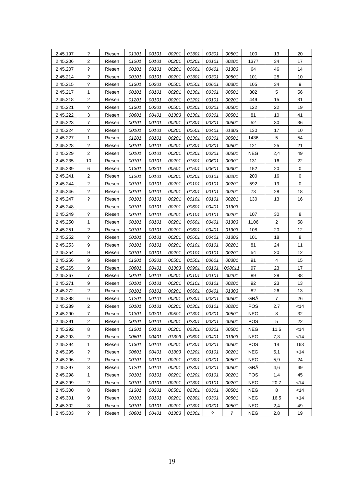| 2.45.197 | ?                       | Riesen | 01301 | 00101 | 00201 | 01301 | 00301       | 00501         | 100        | 13             | 20               |
|----------|-------------------------|--------|-------|-------|-------|-------|-------------|---------------|------------|----------------|------------------|
| 2.45.206 | $\overline{\mathbf{c}}$ | Riesen | 01201 | 00101 | 00201 | 01201 | 00101       | 00201         | 1377       | 34             | 17               |
| 2.45.207 | ?                       | Riesen | 00101 | 00101 | 00201 | 00601 | 00401       | 01303         | 64         | 46             | 14               |
| 2.45.214 | ?                       | Riesen | 00101 | 00101 | 00201 | 01301 | 00301       | 00501         | 101        | 28             | 10               |
| 2.45.215 | $\gamma$                | Riesen | 01301 | 00301 | 00501 | 01501 | 00601       | 00301         | 105        | 34             | $\boldsymbol{9}$ |
| 2.45.217 | 1                       | Riesen | 00101 | 00101 | 00201 | 01301 | 00301       | 00501         | 302        | $\mathbf 5$    | 56               |
| 2.45.218 | $\overline{2}$          | Riesen | 01201 | 00101 | 00201 | 01201 | 00101       | 00201         | 449        | 15             | 31               |
| 2.45.221 | ?                       | Riesen | 01301 | 00301 | 00501 | 01301 | 00301       | 00501         | 122        | 22             | 19               |
| 2.45.222 | 3                       | Riesen | 00601 | 00401 | 01303 | 01301 | 00301       | 00501         | 81         | 10             | 41               |
| 2.45.223 | 7                       | Riesen | 00101 | 00101 | 00201 | 01301 | 00301       | 00501         | 52         | 30             | 36               |
| 2.45.224 | ?                       | Riesen | 00101 | 00101 | 00201 | 00601 | 00401       | 01303         | 130        | 17             | 10               |
| 2.45.227 | 1                       | Riesen | 01201 | 00101 | 00201 | 01301 | 00301       | 00501         | 1436       | 5              | 54               |
| 2.45.228 | ?                       | Riesen | 00101 | 00101 | 00201 | 01301 | 00301       | 00501         | 121        | 25             | 21               |
| 2.45.229 | $\overline{\mathbf{c}}$ | Riesen | 00101 | 00101 | 00201 | 01301 | 00301       | 00501         | <b>NEG</b> | 2,4            | 49               |
| 2.45.235 | 10                      | Riesen | 00101 | 00101 | 00201 | 01501 | 00601       | 00301         | 131        | 16             | 22               |
| 2.45.239 | 6                       | Riesen | 01301 | 00301 | 00501 | 01501 | 00601       | 00301         | 152        | 20             | $\mathbf 0$      |
| 2.45.241 | 2                       | Riesen | 01201 | 00101 | 00201 | 01201 | 00101       | 00201         | 200        | 16             | $\mathbf 0$      |
| 2.45.244 | 2                       | Riesen | 00101 | 00101 | 00201 | 00101 | 00101       | 00201         | 592        | 19             | $\pmb{0}$        |
| 2.45.246 | $\tilde{?}$             | Riesen | 00101 | 00101 | 00201 | 01301 | 00101       | 00201         | 73         | 28             | 18               |
| 2.45.247 | ?                       | Riesen | 00101 | 00101 | 00201 | 00101 | 00101       | 00201         | 130        | 13             | 16               |
| 2.45.248 |                         | Riesen | 00101 | 00101 | 00201 | 00601 | 00401       | 01303         |            |                |                  |
| 2.45.249 | ?                       | Riesen | 00101 | 00101 | 00201 | 00101 | 00101       | 00201         | 107        | 30             | $\,$ 8 $\,$      |
| 2.45.250 | 1                       | Riesen | 00101 | 00101 | 00201 | 00601 | 00401       | 01303         | 1106       | $\overline{2}$ | 58               |
| 2.45.251 | $\gamma$                | Riesen | 00101 | 00101 | 00201 | 00601 | 00401       | 01303         | 108        | 20             | 12               |
| 2.45.252 | $\gamma$                | Riesen | 00101 | 00101 | 00201 | 00601 | 00401       | 01303         | 101        | 18             | $\bf 8$          |
| 2.45.253 | 9                       | Riesen | 00101 | 00101 | 00201 | 00101 | 00101       | 00201         | 81         | 24             | 11               |
| 2.45.254 | 9                       | Riesen | 00101 | 00101 | 00201 | 00101 | 00101       | 00201         | 54         | 20             | 12               |
| 2.45.256 | 9                       | Riesen | 01301 | 00301 | 00501 | 01501 | 00601       | 00301         | 91         | 4              | 15               |
| 2.45.265 | 9                       | Riesen | 00601 | 00401 | 01303 | 00901 | 00101       | 008011        | 97         | 23             | 17               |
| 2.45.267 | 7                       | Riesen | 00101 | 00101 | 00201 | 00101 | 00101       | 00201         | 89         | 28             | 38               |
| 2.45.271 | 9                       | Riesen | 00101 | 00101 | 00201 | 00101 | 00101       | 00201         | 92         | 23             | 13               |
| 2.45.272 | ?                       | Riesen | 00101 | 00101 | 00201 | 00601 | 00401       | 01303         | 82         | 26             | 13               |
| 2.45.288 | 6                       | Riesen | 01201 | 00101 | 00201 | 02301 | 00301       | 00501         | GRÅ        | $\overline{7}$ | 26               |
| 2.45.289 | $\overline{2}$          | Riesen | 00101 | 00101 | 00201 | 01301 | 00101       | 00201         | POS        | 2,7            | $<$ 14           |
| 2.45.290 | 7                       | Riesen | 01301 | 00301 | 00501 | 01301 | 00301       | 00501         | NEG        | 8              | 32               |
| 2.45.291 | 2                       | Riesen | 00101 | 00101 | 00201 | 02301 | 00301       | 00501         | POS        | 5              | 22               |
| 2.45.292 | 8                       | Riesen | 01201 | 00101 | 00201 | 02301 | 00301       | 00501         | <b>NEG</b> | 11,6           | $<$ 14           |
| 2.45.293 | $\ddot{?}$              | Riesen | 00601 | 00401 | 01303 | 00601 | 00401       | 01303         | <b>NEG</b> | 7,3            | < 14             |
| 2.45.294 | 1                       | Riesen | 01301 | 00101 | 00201 | 01301 | 00301       | 00501         | POS        | 14             | 163              |
| 2.45.295 | $\ddot{?}$              | Riesen | 00601 | 00401 | 01303 | 01201 | 00101       | 00201         | <b>NEG</b> | 5,1            | $<$ 14           |
| 2.45.296 | ?                       | Riesen | 00101 | 00101 | 00201 | 01301 | 00301       | 00501         | <b>NEG</b> | 5,9            | 24               |
| 2.45.297 | 3                       | Riesen | 01201 | 00101 | 00201 | 02301 | 00301       | 00501         | GRÅ        | 4,6            | 49               |
| 2.45.298 | 1                       | Riesen | 00101 | 00101 | 00201 | 01201 | 00101       | 00201         | POS        | 1,4            | 45               |
| 2.45.299 | ?                       | Riesen | 00101 | 00101 | 00201 | 01301 | 00101       | 00201         | <b>NEG</b> | 20,7           | < 14             |
| 2.45.300 | 8                       | Riesen | 01301 | 00301 | 00501 | 02301 | 00301       | 00501         | <b>NEG</b> | 8              | < 14             |
| 2.45.301 | 9                       | Riesen | 00101 | 00101 | 00201 | 02301 | 00301       | 00501         | <b>NEG</b> | 16,5           | < 14             |
| 2.45.302 | 3                       | Riesen | 00101 | 00101 | 00201 | 01301 | 00301       | 00501         | <b>NEG</b> | 2,4            | 49               |
| 2.45.303 | $\tilde{?}$             | Riesen | 00601 | 00401 | 01303 | 01301 | $\tilde{z}$ | $\mathcal{P}$ | <b>NEG</b> | 2,8            | 19               |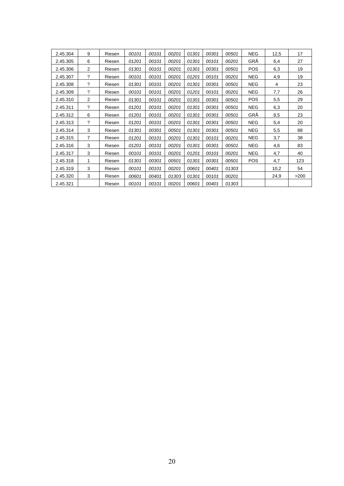| 2.45.304 | 9              | Riesen | 00101 | 00101 | 00201 | 01301 | 00301 | 00501 | <b>NEG</b> | 12,5 | 17   |
|----------|----------------|--------|-------|-------|-------|-------|-------|-------|------------|------|------|
| 2.45.305 | 6              | Riesen | 01201 | 00101 | 00201 | 01301 | 00101 | 00201 | GRÄ        | 6,4  | 27   |
| 2.45.306 | 2              | Riesen | 01301 | 00101 | 00201 | 01301 | 00301 | 00501 | <b>POS</b> | 6,3  | 19   |
| 2.45.307 | $\gamma$       | Riesen | 00101 | 00101 | 00201 | 01201 | 00101 | 00201 | <b>NEG</b> | 4,9  | 19   |
| 2.45.308 | ?              | Riesen | 01301 | 00101 | 00201 | 01301 | 00301 | 00501 | <b>NEG</b> | 4    | 23   |
| 2.45.309 | $\gamma$       | Riesen | 00101 | 00101 | 00201 | 01201 | 00101 | 00201 | <b>NEG</b> | 7,7  | 26   |
| 2.45.310 | 2              | Riesen | 01301 | 00101 | 00201 | 01301 | 00301 | 00501 | <b>POS</b> | 5,5  | 29   |
| 2.45.311 | $\gamma$       | Riesen | 01201 | 00101 | 00201 | 01301 | 00301 | 00501 | <b>NEG</b> | 6,3  | 20   |
| 2.45.312 | 6              | Riesen | 01201 | 00101 | 00201 | 01301 | 00301 | 00501 | GRÄ        | 8,5  | 23   |
| 2.45.313 | $\gamma$       | Riesen | 01201 | 00101 | 00201 | 01301 | 00301 | 00501 | <b>NEG</b> | 5,4  | 20   |
| 2.45.314 | 3              | Riesen | 01301 | 00301 | 00501 | 01301 | 00301 | 00501 | <b>NEG</b> | 5,5  | 88   |
| 2.45.315 | $\overline{7}$ | Riesen | 01201 | 00101 | 00201 | 01301 | 00101 | 00201 | <b>NEG</b> | 3,7  | 38   |
| 2.45.316 | 3              | Riesen | 01201 | 00101 | 00201 | 01301 | 00301 | 00501 | <b>NEG</b> | 4,6  | 83   |
| 2.45.317 | 3              | Riesen | 00101 | 00101 | 00201 | 01201 | 00101 | 00201 | <b>NEG</b> | 4,7  | 40   |
| 2.45.318 | 1              | Riesen | 01301 | 00301 | 00501 | 01301 | 00301 | 00501 | <b>POS</b> | 4,7  | 123  |
| 2.45.319 | 3              | Riesen | 00101 | 00101 | 00201 | 00601 | 00401 | 01303 |            | 10,2 | 54   |
| 2.45.320 | 3              | Riesen | 00601 | 00401 | 01303 | 01301 | 00101 | 00201 |            | 24,9 | >200 |
| 2.45.321 |                | Riesen | 00101 | 00101 | 00201 | 00601 | 00401 | 01303 |            |      |      |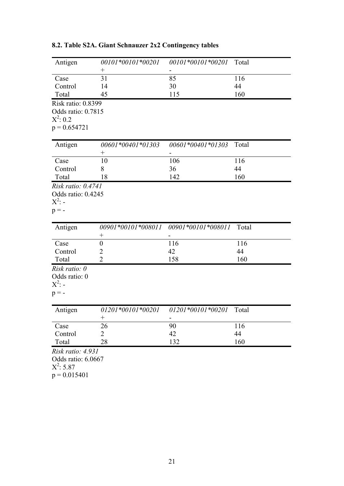| Antigen                          | 00101*00101*00201  | 00101*00101*00201   | Total |
|----------------------------------|--------------------|---------------------|-------|
| Case                             | $\! +$<br>31       | 85                  | 116   |
| Control                          | 14                 | 30                  | 44    |
| Total                            | 45                 | 115                 | 160   |
|                                  |                    |                     |       |
| Risk ratio: 0.8399               |                    |                     |       |
| Odds ratio: 0.7815<br>$X^2: 0.2$ |                    |                     |       |
| $p = 0.654721$                   |                    |                     |       |
|                                  |                    |                     |       |
| Antigen                          | 00601*00401*01303  | 00601*00401*01303   | Total |
|                                  | $^{+}$             |                     |       |
| Case                             | 10                 | 106                 | 116   |
| Control                          | 8                  | 36                  | 44    |
| Total                            | 18                 | 142                 | 160   |
| Risk ratio: 0.4741               |                    |                     |       |
| Odds ratio: 0.4245               |                    |                     |       |
| $X^2$ : -                        |                    |                     |       |
| $p = -$                          |                    |                     |       |
|                                  |                    |                     |       |
| Antigen                          | 00901*00101*008011 | 00901*00101*008011  | Total |
|                                  | $^{+}$             |                     |       |
| Case                             | $\boldsymbol{0}$   | 116                 | 116   |
| Control                          | 2                  | 42                  | 44    |
| Total                            | $\overline{2}$     | 158                 | 160   |
| Risk ratio: 0                    |                    |                     |       |
| Odds ratio: 0                    |                    |                     |       |
| $X^2$ : -                        |                    |                     |       |
| $p = -$                          |                    |                     |       |
|                                  |                    |                     |       |
| Antigen                          | 01201*00101*00201  | $01201*00101*00201$ | Total |
|                                  | $^{+}$             |                     |       |
| Case                             | 26                 | 90                  | 116   |
| Control                          | $\overline{2}$     | 42                  | 44    |
| Total                            | 28                 | 132                 | 160   |
| Risk ratio: 4.931                |                    |                     |       |
| Odds ratio: 6.0667               |                    |                     |       |
| $X^2$ : 5.87                     |                    |                     |       |
| $p = 0.015401$                   |                    |                     |       |
|                                  |                    |                     |       |

# **8.2. Table S2A. Giant Schnauzer 2x2 Contingency tables**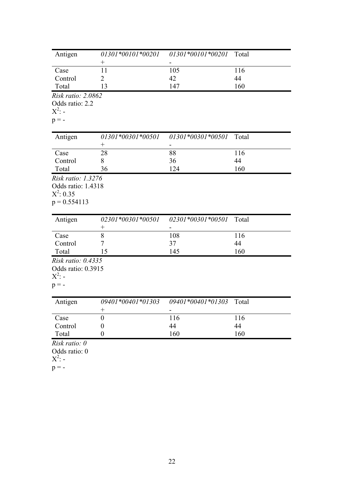| Antigen                                                                    | 01301*00101*00201<br>$^{+}$ | 01301*00101*00201 | Total |
|----------------------------------------------------------------------------|-----------------------------|-------------------|-------|
| Case                                                                       | 11                          | 105               | 116   |
| Control                                                                    | 2                           | 42                | 44    |
| Total                                                                      | 13                          | 147               | 160   |
| Risk ratio: 2.0862                                                         |                             |                   |       |
| Odds ratio: 2.2<br>$X^2$ : -                                               |                             |                   |       |
| $p = -$                                                                    |                             |                   |       |
| Antigen                                                                    | 01301*00301*00501<br>$^{+}$ | 01301*00301*00501 | Total |
| Case                                                                       | 28                          | 88                | 116   |
| Control                                                                    | 8                           | 36                | 44    |
| Total                                                                      | 36                          | 124               | 160   |
| Risk ratio: 1.3276<br>Odds ratio: 1.4318<br>$X^2$ : 0.35<br>$p = 0.554113$ |                             |                   |       |
| Antigen                                                                    | 02301*00301*00501<br>$^{+}$ | 02301*00301*00501 | Total |
| Case                                                                       | 8                           | 108               | 116   |
| Control                                                                    | 7                           | 37                | 44    |
| Total                                                                      | 15                          | 145               | 160   |
| Risk ratio: 0.4335                                                         |                             |                   |       |
| Odds ratio: 0.3915<br>$X^2$ : -<br>$p = -$                                 |                             |                   |       |
| Antigen                                                                    | 09401*00401*01303<br>$^{+}$ | 09401*00401*01303 | Total |
| Case                                                                       | $\boldsymbol{0}$            | 116               | 116   |
| Control                                                                    | $\boldsymbol{0}$            | 44                | 44    |
| Total                                                                      | $\boldsymbol{0}$            | 160               | 160   |
| Risk ratio: 0<br>Odds ratio: 0<br>$X^2$ : -<br>$p = -$                     |                             |                   |       |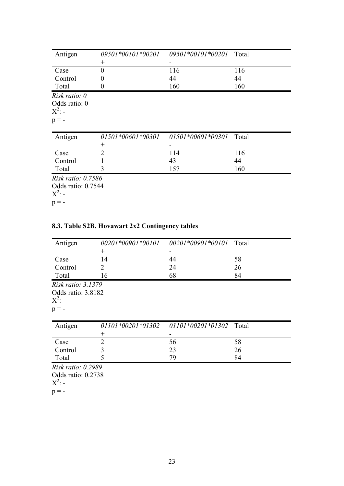| Antigen                   | 09501*00101*00201  | 09501*00101*00201 Total |       |
|---------------------------|--------------------|-------------------------|-------|
|                           | $\hspace{0.1mm} +$ |                         |       |
| Case                      | $\theta$           | 116                     | 116   |
| Control                   | 0                  | 44                      | 44    |
| Total                     | $\theta$           | 160                     | 160   |
| Risk ratio: $\theta$      |                    |                         |       |
| Odds ratio: 0             |                    |                         |       |
| $X^2$ : -                 |                    |                         |       |
| $p = -$                   |                    |                         |       |
|                           |                    |                         |       |
| Antigen                   | 01501*00601*00301  | $01501*00601*00301$     | Total |
|                           | $\hspace{0.1mm} +$ |                         |       |
| Case                      | $\overline{2}$     | 114                     | 116   |
| Control                   |                    | 43                      | 44    |
|                           |                    |                         |       |
| Total                     | 3                  | 157                     | 160   |
| <i>Risk ratio: 0.7586</i> |                    |                         |       |
| Odds ratio: 0.7544        |                    |                         |       |
| $X^2$ : -                 |                    |                         |       |

# **8.3. Table S2B. Hovawart 2x2 Contingency tables**

| Antigen                   | 00201*00901*00101 | 00201*00901*00101 Total |       |
|---------------------------|-------------------|-------------------------|-------|
|                           | $^{+}$            |                         |       |
| Case                      | 14                | 44                      | 58    |
| Control                   | $\overline{2}$    | 24                      | 26    |
| Total                     | 16                | 68                      | 84    |
| <i>Risk ratio: 3.1379</i> |                   |                         |       |
| Odds ratio: 3.8182        |                   |                         |       |
| $X^2$ : -                 |                   |                         |       |
| $p = -$                   |                   |                         |       |
|                           |                   |                         |       |
| Antigen                   | 01101*00201*01302 | $01101*00201*01302$     | Total |
|                           | $^+$              |                         |       |
| Case                      | $\overline{2}$    | 56                      | 58    |
| Control                   | 3                 | 23                      | 26    |
| Total                     | 5                 | 79                      | 84    |
| Risk ratio: 0.2989        |                   |                         |       |
| Odds ratio: 0.2738        |                   |                         |       |
|                           |                   |                         |       |
| $X^2$ : -                 |                   |                         |       |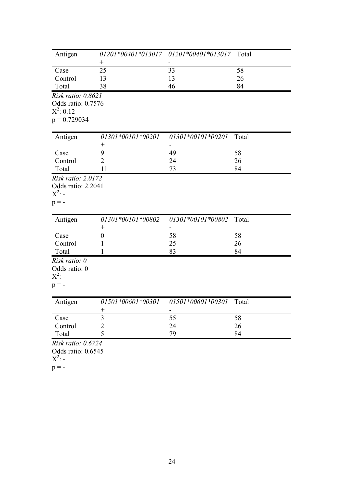| Antigen                                                |                             | 01201*00401*013017 01201*00401*013017 | Total |
|--------------------------------------------------------|-----------------------------|---------------------------------------|-------|
| Case                                                   | $\! +$<br>25                | 33                                    | 58    |
| Control                                                | 13                          | 13                                    | 26    |
| Total                                                  | 38                          | 46                                    | 84    |
| Risk ratio: 0.8621                                     |                             |                                       |       |
| Odds ratio: 0.7576                                     |                             |                                       |       |
| $X^2$ : 0.12                                           |                             |                                       |       |
| $p = 0.729034$                                         |                             |                                       |       |
| Antigen                                                | 01301*00101*00201           | 01301*00101*00201                     | Total |
|                                                        | $^{+}$                      |                                       |       |
| Case                                                   | 9                           | 49                                    | 58    |
| Control                                                | $\overline{2}$              | 24                                    | 26    |
| Total                                                  | 11                          | 73                                    | 84    |
| Odds ratio: 2.2041<br>$X^2$ : -<br>$p = -$             |                             |                                       |       |
| Antigen                                                | 01301*00101*00802<br>$^{+}$ | 01301*00101*00802                     | Total |
| Case                                                   | $\boldsymbol{0}$            | 58                                    | 58    |
| Control                                                | 1                           | 25                                    | 26    |
| Total                                                  |                             | 83                                    | 84    |
| Risk ratio: 0<br>Odds ratio: 0<br>$X^2$ : -<br>$p = -$ |                             |                                       |       |
| Antigen                                                | 01501*00601*00301<br>$^{+}$ | 01501*00601*00301                     | Total |
| Case                                                   | $\overline{\mathbf{3}}$     | 55                                    | 58    |
| Control                                                | $\overline{2}$              | 24                                    | 26    |
| Total                                                  | 5                           | 79                                    | 84    |
| Risk ratio: 0.6724<br>Odds ratio: 0.6545<br>$X^2$ : -  |                             |                                       |       |

 $p = -$